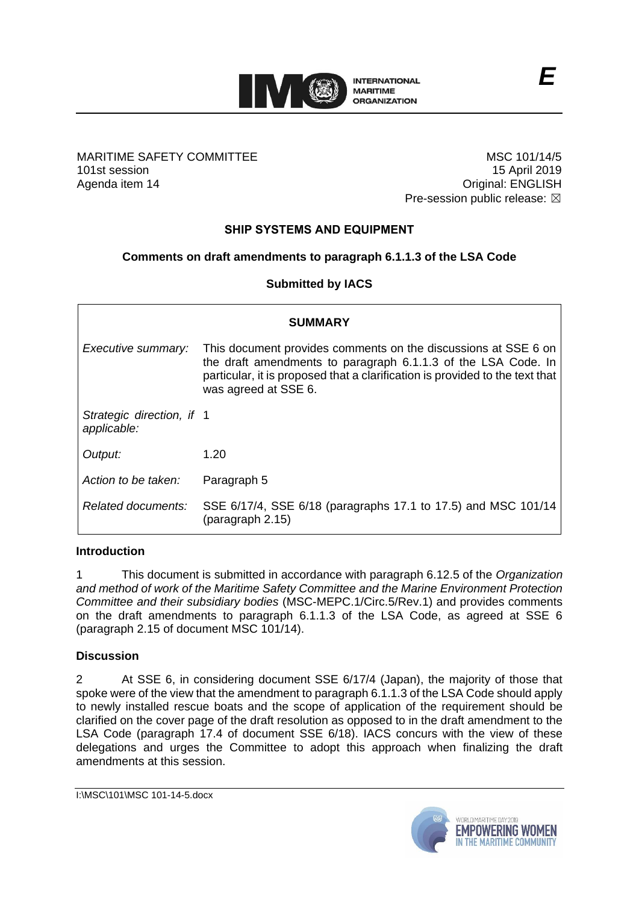

#### MARITIME SAFETY COMMITTEE 101st session Agenda item 14

MSC 101/14/5 15 April 2019 Original: ENGLISH Pre-session public release:  $\boxtimes$ 

# **SHIP SYSTEMS AND EQUIPMENT**

## **Comments on draft amendments to paragraph 6.1.1.3 of the LSA Code**

#### **Submitted by IACS**

| <b>SUMMARY</b>                           |                                                                                                                                                                                                                                         |
|------------------------------------------|-----------------------------------------------------------------------------------------------------------------------------------------------------------------------------------------------------------------------------------------|
| Executive summary:                       | This document provides comments on the discussions at SSE 6 on<br>the draft amendments to paragraph 6.1.1.3 of the LSA Code. In<br>particular, it is proposed that a clarification is provided to the text that<br>was agreed at SSE 6. |
| Strategic direction, if 1<br>applicable: |                                                                                                                                                                                                                                         |
| Output:                                  | 1.20                                                                                                                                                                                                                                    |
| Action to be taken:                      | Paragraph 5                                                                                                                                                                                                                             |
| Related documents:                       | SSE 6/17/4, SSE 6/18 (paragraphs 17.1 to 17.5) and MSC 101/14<br>(paragraph 2.15)                                                                                                                                                       |

#### **Introduction**

1 This document is submitted in accordance with paragraph 6.12.5 of the *Organization and method of work of the Maritime Safety Committee and the Marine Environment Protection Committee and their subsidiary bodies* (MSC-MEPC.1/Circ.5/Rev.1) and provides comments on the draft amendments to paragraph 6.1.1.3 of the LSA Code, as agreed at SSE 6 (paragraph 2.15 of document MSC 101/14).

#### **Discussion**

2 At SSE 6, in considering document SSE 6/17/4 (Japan), the majority of those that spoke were of the view that the amendment to paragraph 6.1.1.3 of the LSA Code should apply to newly installed rescue boats and the scope of application of the requirement should be clarified on the cover page of the draft resolution as opposed to in the draft amendment to the LSA Code (paragraph 17.4 of document SSE 6/18). IACS concurs with the view of these delegations and urges the Committee to adopt this approach when finalizing the draft amendments at this session.